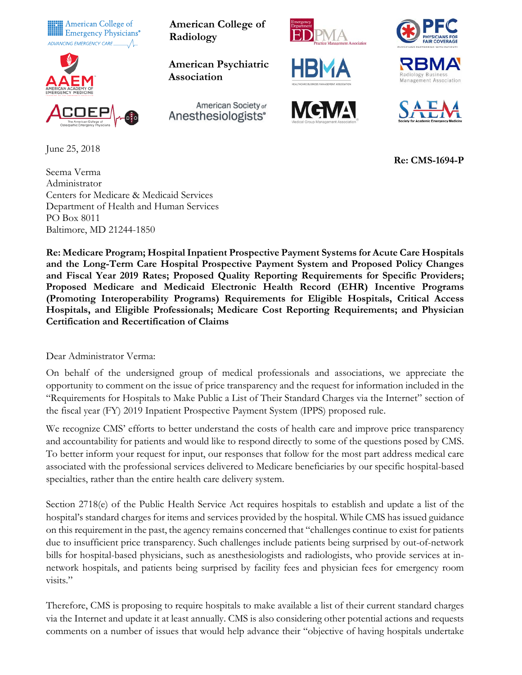



June 25, 2018

Seema Verma Administrator Centers for Medicare & Medicaid Services Department of Health and Human Services PO Box 8011 Baltimore, MD 21244-1850

American College of<br> **American College of**<br> **American College of**<br> **Radiology Radiology**

> **American Psychiatric Association**

Anesthesiologists<sup>®</sup>

American Society of













 **Re: CMS-1694-P**

**Re: Medicare Program; Hospital Inpatient Prospective Payment Systems for Acute Care Hospitals and the Long-Term Care Hospital Prospective Payment System and Proposed Policy Changes and Fiscal Year 2019 Rates; Proposed Quality Reporting Requirements for Specific Providers; Proposed Medicare and Medicaid Electronic Health Record (EHR) Incentive Programs (Promoting Interoperability Programs) Requirements for Eligible Hospitals, Critical Access Hospitals, and Eligible Professionals; Medicare Cost Reporting Requirements; and Physician Certification and Recertification of Claims**

Dear Administrator Verma:

On behalf of the undersigned group of medical professionals and associations, we appreciate the opportunity to comment on the issue of price transparency and the request for information included in the "Requirements for Hospitals to Make Public a List of Their Standard Charges via the Internet" section of the fiscal year (FY) 2019 Inpatient Prospective Payment System (IPPS) proposed rule.

We recognize CMS' efforts to better understand the costs of health care and improve price transparency and accountability for patients and would like to respond directly to some of the questions posed by CMS. To better inform your request for input, our responses that follow for the most part address medical care associated with the professional services delivered to Medicare beneficiaries by our specific hospital-based specialties, rather than the entire health care delivery system.

Section 2718(e) of the Public Health Service Act requires hospitals to establish and update a list of the hospital's standard charges for items and services provided by the hospital. While CMS has issued guidance on this requirement in the past, the agency remains concerned that "challenges continue to exist for patients due to insufficient price transparency. Such challenges include patients being surprised by out-of-network bills for hospital-based physicians, such as anesthesiologists and radiologists, who provide services at innetwork hospitals, and patients being surprised by facility fees and physician fees for emergency room visits."

Therefore, CMS is proposing to require hospitals to make available a list of their current standard charges via the Internet and update it at least annually. CMS is also considering other potential actions and requests comments on a number of issues that would help advance their "objective of having hospitals undertake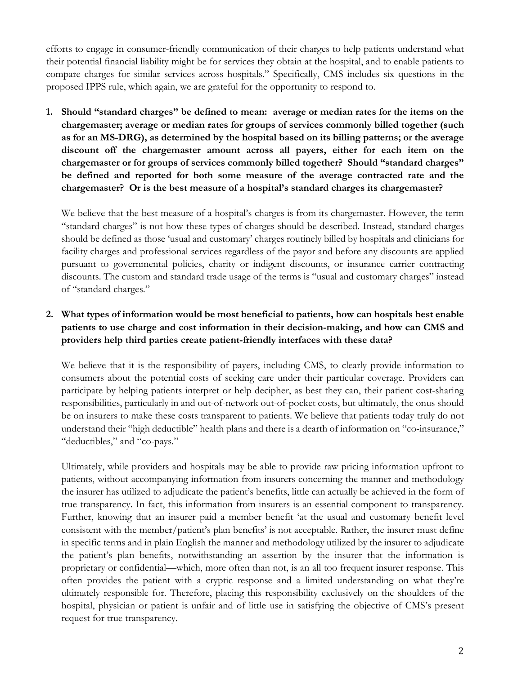efforts to engage in consumer-friendly communication of their charges to help patients understand what their potential financial liability might be for services they obtain at the hospital, and to enable patients to compare charges for similar services across hospitals." Specifically, CMS includes six questions in the proposed IPPS rule, which again, we are grateful for the opportunity to respond to.

**1. Should "standard charges" be defined to mean: average or median rates for the items on the chargemaster; average or median rates for groups of services commonly billed together (such as for an MS-DRG), as determined by the hospital based on its billing patterns; or the average discount off the chargemaster amount across all payers, either for each item on the chargemaster or for groups of services commonly billed together? Should "standard charges" be defined and reported for both some measure of the average contracted rate and the chargemaster? Or is the best measure of a hospital's standard charges its chargemaster?**

We believe that the best measure of a hospital's charges is from its chargemaster. However, the term "standard charges" is not how these types of charges should be described. Instead, standard charges should be defined as those 'usual and customary' charges routinely billed by hospitals and clinicians for facility charges and professional services regardless of the payor and before any discounts are applied pursuant to governmental policies, charity or indigent discounts, or insurance carrier contracting discounts. The custom and standard trade usage of the terms is "usual and customary charges" instead of "standard charges."

## **2. What types of information would be most beneficial to patients, how can hospitals best enable patients to use charge and cost information in their decision-making, and how can CMS and providers help third parties create patient-friendly interfaces with these data?**

We believe that it is the responsibility of payers, including CMS, to clearly provide information to consumers about the potential costs of seeking care under their particular coverage. Providers can participate by helping patients interpret or help decipher, as best they can, their patient cost-sharing responsibilities, particularly in and out-of-network out-of-pocket costs, but ultimately, the onus should be on insurers to make these costs transparent to patients. We believe that patients today truly do not understand their "high deductible" health plans and there is a dearth of information on "co-insurance," "deductibles," and "co-pays."

Ultimately, while providers and hospitals may be able to provide raw pricing information upfront to patients, without accompanying information from insurers concerning the manner and methodology the insurer has utilized to adjudicate the patient's benefits, little can actually be achieved in the form of true transparency. In fact, this information from insurers is an essential component to transparency. Further, knowing that an insurer paid a member benefit 'at the usual and customary benefit level consistent with the member/patient's plan benefits' is not acceptable. Rather, the insurer must define in specific terms and in plain English the manner and methodology utilized by the insurer to adjudicate the patient's plan benefits, notwithstanding an assertion by the insurer that the information is proprietary or confidential—which, more often than not, is an all too frequent insurer response. This often provides the patient with a cryptic response and a limited understanding on what they're ultimately responsible for. Therefore, placing this responsibility exclusively on the shoulders of the hospital, physician or patient is unfair and of little use in satisfying the objective of CMS's present request for true transparency.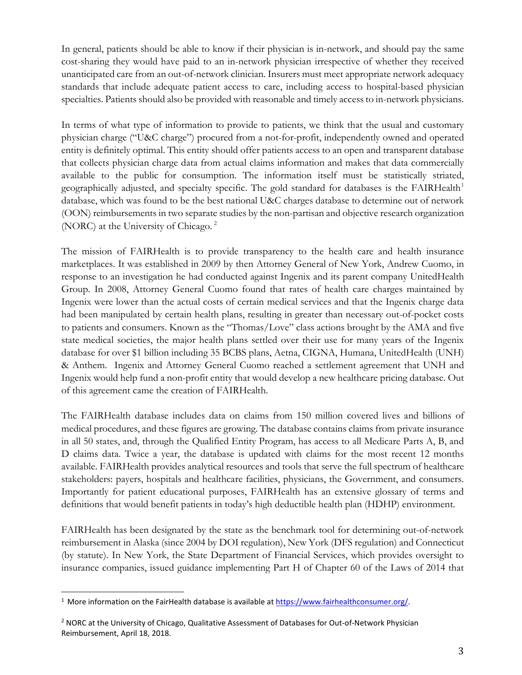In general, patients should be able to know if their physician is in-network, and should pay the same cost-sharing they would have paid to an in-network physician irrespective of whether they received unanticipated care from an out-of-network clinician. Insurers must meet appropriate network adequacy standards that include adequate patient access to care, including access to hospital-based physician specialties. Patients should also be provided with reasonable and timely access to in-network physicians.

In terms of what type of information to provide to patients, we think that the usual and customary physician charge ("U&C charge") procured from a not-for-profit, independently owned and operated entity is definitely optimal. This entity should offer patients access to an open and transparent database that collects physician charge data from actual claims information and makes that data commercially available to the public for consumption. The information itself must be statistically striated, geographically adjusted, and specialty specific. The gold standard for databases is the FAIRHealth<sup>[1](#page-2-0)</sup> database, which was found to be the best national U&C charges database to determine out of network (OON) reimbursements in two separate studies by the non-partisan and objective research organization (NORC) at the University of Chicago. [2](#page-2-1)

The mission of FAIRHealth is to provide transparency to the health care and health insurance marketplaces. It was established in 2009 by then Attorney General of New York, Andrew Cuomo, in response to an investigation he had conducted against Ingenix and its parent company UnitedHealth Group. In 2008, Attorney General Cuomo found that rates of health care charges maintained by Ingenix were lower than the actual costs of certain medical services and that the Ingenix charge data had been manipulated by certain health plans, resulting in greater than necessary out-of-pocket costs to patients and consumers. Known as the "Thomas/Love" class actions brought by the AMA and five state medical societies, the major health plans settled over their use for many years of the Ingenix database for over \$1 billion including 35 BCBS plans, Aetna, CIGNA, Humana, UnitedHealth (UNH) & Anthem. Ingenix and Attorney General Cuomo reached a settlement agreement that UNH and Ingenix would help fund a non-profit entity that would develop a new healthcare pricing database. Out of this agreement came the creation of FAIRHealth.

The FAIRHealth database includes data on claims from 150 million covered lives and billions of medical procedures, and these figures are growing. The database contains claims from private insurance in all 50 states, and, through the Qualified Entity Program, has access to all Medicare Parts A, B, and D claims data. Twice a year, the database is updated with claims for the most recent 12 months available. FAIRHealth provides analytical resources and tools that serve the full spectrum of healthcare stakeholders: payers, hospitals and healthcare facilities, physicians, the Government, and consumers. Importantly for patient educational purposes, FAIRHealth has an extensive glossary of terms and definitions that would benefit patients in today's high deductible health plan (HDHP) environment.

FAIRHealth has been designated by the state as the benchmark tool for determining out-of-network reimbursement in Alaska (since 2004 by DOI regulation), New York (DFS regulation) and Connecticut (by statute). In New York, the State Department of Financial Services, which provides oversight to insurance companies, issued guidance implementing Part H of Chapter 60 of the Laws of 2014 that

<span id="page-2-0"></span><sup>&</sup>lt;sup>1</sup> More information on the FairHealth database is available a[t https://www.fairhealthconsumer.org/.](https://www.fairhealthconsumer.org/)

<span id="page-2-1"></span><sup>2</sup> NORC at the University of Chicago, Qualitative Assessment of Databases for Out-of-Network Physician Reimbursement, April 18, 2018.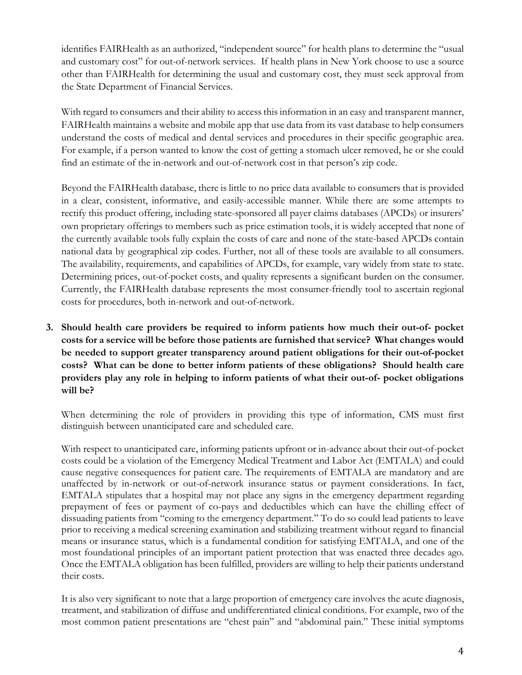identifies FAIRHealth as an authorized, "independent source" for health plans to determine the "usual and customary cost" for out-of-network services. If health plans in New York choose to use a source other than FAIRHealth for determining the usual and customary cost, they must seek approval from the State Department of Financial Services.

With regard to consumers and their ability to access this information in an easy and transparent manner, FAIRHealth maintains a website and mobile app that use data from its vast database to help consumers understand the costs of medical and dental services and procedures in their specific geographic area. For example, if a person wanted to know the cost of getting a stomach ulcer removed, he or she could find an estimate of the in-network and out-of-network cost in that person's zip code.

Beyond the FAIRHealth database, there is little to no price data available to consumers that is provided in a clear, consistent, informative, and easily-accessible manner. While there are some attempts to rectify this product offering, including state-sponsored all payer claims databases (APCDs) or insurers' own proprietary offerings to members such as price estimation tools, it is widely accepted that none of the currently available tools fully explain the costs of care and none of the state-based APCDs contain national data by geographical zip codes. Further, not all of these tools are available to all consumers. The availability, requirements, and capabilities of APCDs, for example, vary widely from state to state. Determining prices, out-of-pocket costs, and quality represents a significant burden on the consumer. Currently, the FAIRHealth database represents the most consumer-friendly tool to ascertain regional costs for procedures, both in-network and out-of-network.

**3. Should health care providers be required to inform patients how much their out-of- pocket costs for a service will be before those patients are furnished that service? What changes would be needed to support greater transparency around patient obligations for their out-of-pocket costs? What can be done to better inform patients of these obligations? Should health care providers play any role in helping to inform patients of what their out-of- pocket obligations will be?**

When determining the role of providers in providing this type of information, CMS must first distinguish between unanticipated care and scheduled care.

With respect to unanticipated care, informing patients upfront or in-advance about their out-of-pocket costs could be a violation of the Emergency Medical Treatment and Labor Act (EMTALA) and could cause negative consequences for patient care. The requirements of EMTALA are mandatory and are unaffected by in-network or out-of-network insurance status or payment considerations. In fact, EMTALA stipulates that a hospital may not place any signs in the emergency department regarding prepayment of fees or payment of co-pays and deductibles which can have the chilling effect of dissuading patients from "coming to the emergency department." To do so could lead patients to leave prior to receiving a medical screening examination and stabilizing treatment without regard to financial means or insurance status, which is a fundamental condition for satisfying EMTALA, and one of the most foundational principles of an important patient protection that was enacted three decades ago. Once the EMTALA obligation has been fulfilled, providers are willing to help their patients understand their costs.

It is also very significant to note that a large proportion of emergency care involves the acute diagnosis, treatment, and stabilization of diffuse and undifferentiated clinical conditions. For example, two of the most common patient presentations are "chest pain" and "abdominal pain." These initial symptoms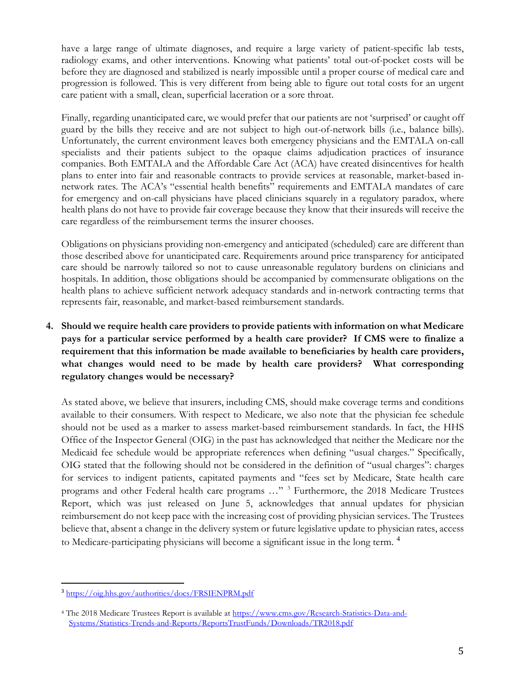have a large range of ultimate diagnoses, and require a large variety of patient-specific lab tests, radiology exams, and other interventions. Knowing what patients' total out-of-pocket costs will be before they are diagnosed and stabilized is nearly impossible until a proper course of medical care and progression is followed. This is very different from being able to figure out total costs for an urgent care patient with a small, clean, superficial laceration or a sore throat.

Finally, regarding unanticipated care, we would prefer that our patients are not 'surprised' or caught off guard by the bills they receive and are not subject to high out-of-network bills (i.e., balance bills). Unfortunately, the current environment leaves both emergency physicians and the EMTALA on-call specialists and their patients subject to the opaque claims adjudication practices of insurance companies. Both EMTALA and the Affordable Care Act (ACA) have created disincentives for health plans to enter into fair and reasonable contracts to provide services at reasonable, market-based innetwork rates. The ACA's "essential health benefits" requirements and EMTALA mandates of care for emergency and on-call physicians have placed clinicians squarely in a regulatory paradox, where health plans do not have to provide fair coverage because they know that their insureds will receive the care regardless of the reimbursement terms the insurer chooses.

Obligations on physicians providing non-emergency and anticipated (scheduled) care are different than those described above for unanticipated care. Requirements around price transparency for anticipated care should be narrowly tailored so not to cause unreasonable regulatory burdens on clinicians and hospitals. In addition, those obligations should be accompanied by commensurate obligations on the health plans to achieve sufficient network adequacy standards and in-network contracting terms that represents fair, reasonable, and market-based reimbursement standards.

**4. Should we require health care providers to provide patients with information on what Medicare pays for a particular service performed by a health care provider? If CMS were to finalize a requirement that this information be made available to beneficiaries by health care providers, what changes would need to be made by health care providers? What corresponding regulatory changes would be necessary?**

As stated above, we believe that insurers, including CMS, should make coverage terms and conditions available to their consumers. With respect to Medicare, we also note that the physician fee schedule should not be used as a marker to assess market-based reimbursement standards. In fact, the HHS Office of the Inspector General (OIG) in the past has acknowledged that neither the Medicare nor the Medicaid fee schedule would be appropriate references when defining "usual charges." Specifically, OIG stated that the following should not be considered in the definition of "usual charges": charges for services to indigent patients, capitated payments and "fees set by Medicare, State health care programs and other Federal health care programs …" [3](#page-4-0) Furthermore, the 2018 Medicare Trustees Report, which was just released on June 5, acknowledges that annual updates for physician reimbursement do not keep pace with the increasing cost of providing physician services. The Trustees believe that, absent a change in the delivery system or future legislative update to physician rates, access to Medicare-participating physicians will become a significant issue in the long term. <sup>[4](#page-4-1)</sup>

<span id="page-4-0"></span><sup>3</sup> <https://oig.hhs.gov/authorities/docs/FRSIENPRM.pdf>

<span id="page-4-1"></span><sup>4</sup> The 2018 Medicare Trustees Report is available at [https://www.cms.gov/Research-Statistics-Data-and-](https://www.cms.gov/Research-Statistics-Data-and-Systems/Statistics-Trends-and-Reports/ReportsTrustFunds/Downloads/TR2018.pdf)[Systems/Statistics-Trends-and-Reports/ReportsTrustFunds/Downloads/TR2018.pdf](https://www.cms.gov/Research-Statistics-Data-and-Systems/Statistics-Trends-and-Reports/ReportsTrustFunds/Downloads/TR2018.pdf)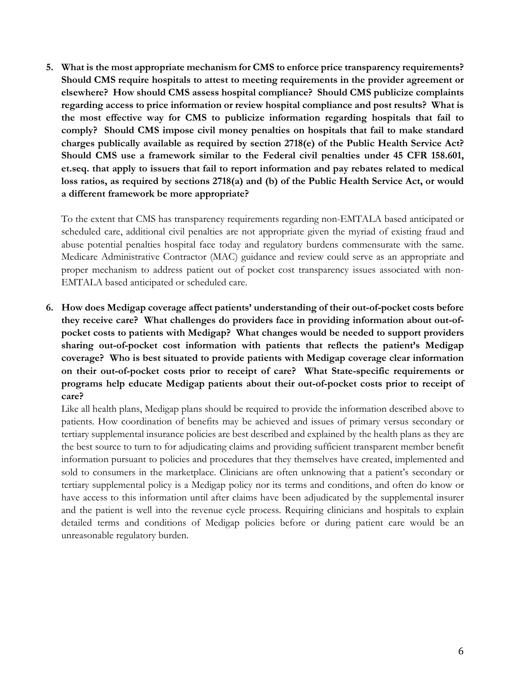**5. What is the most appropriate mechanism for CMS to enforce price transparency requirements? Should CMS require hospitals to attest to meeting requirements in the provider agreement or elsewhere? How should CMS assess hospital compliance? Should CMS publicize complaints regarding access to price information or review hospital compliance and post results? What is the most effective way for CMS to publicize information regarding hospitals that fail to comply? Should CMS impose civil money penalties on hospitals that fail to make standard charges publically available as required by section 2718(e) of the Public Health Service Act? Should CMS use a framework similar to the Federal civil penalties under 45 CFR 158.601, et.seq. that apply to issuers that fail to report information and pay rebates related to medical loss ratios, as required by sections 2718(a) and (b) of the Public Health Service Act, or would a different framework be more appropriate?**

To the extent that CMS has transparency requirements regarding non-EMTALA based anticipated or scheduled care, additional civil penalties are not appropriate given the myriad of existing fraud and abuse potential penalties hospital face today and regulatory burdens commensurate with the same. Medicare Administrative Contractor (MAC) guidance and review could serve as an appropriate and proper mechanism to address patient out of pocket cost transparency issues associated with non-EMTALA based anticipated or scheduled care.

**6. How does Medigap coverage affect patients' understanding of their out-of-pocket costs before they receive care? What challenges do providers face in providing information about out-ofpocket costs to patients with Medigap? What changes would be needed to support providers sharing out-of-pocket cost information with patients that reflects the patient's Medigap coverage? Who is best situated to provide patients with Medigap coverage clear information on their out-of-pocket costs prior to receipt of care? What State-specific requirements or programs help educate Medigap patients about their out-of-pocket costs prior to receipt of care?**

Like all health plans, Medigap plans should be required to provide the information described above to patients. How coordination of benefits may be achieved and issues of primary versus secondary or tertiary supplemental insurance policies are best described and explained by the health plans as they are the best source to turn to for adjudicating claims and providing sufficient transparent member benefit information pursuant to policies and procedures that they themselves have created, implemented and sold to consumers in the marketplace. Clinicians are often unknowing that a patient's secondary or tertiary supplemental policy is a Medigap policy nor its terms and conditions, and often do know or have access to this information until after claims have been adjudicated by the supplemental insurer and the patient is well into the revenue cycle process. Requiring clinicians and hospitals to explain detailed terms and conditions of Medigap policies before or during patient care would be an unreasonable regulatory burden.